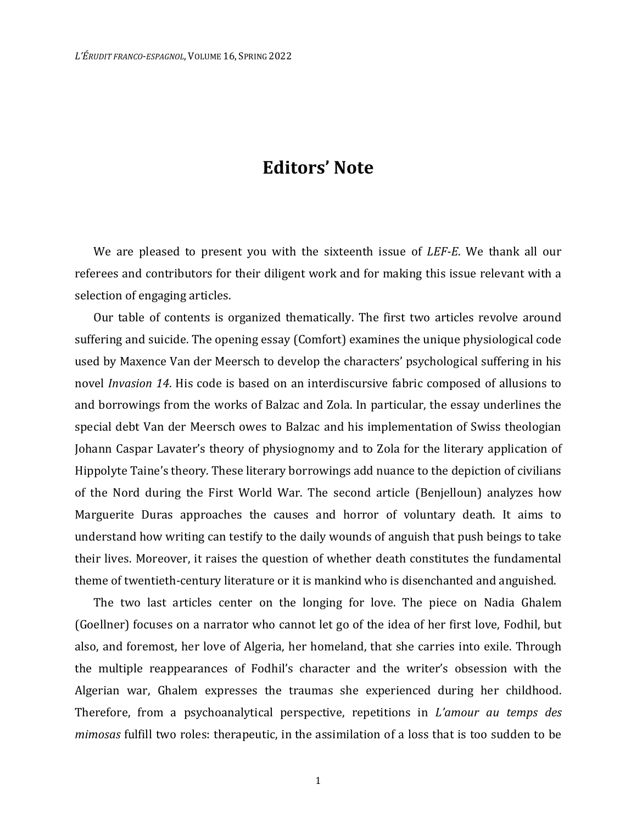## **Editors' Note**

We are pleased to present you with the sixteenth issue of *LEF-E*. We thank all our referees and contributors for their diligent work and for making this issue relevant with a selection of engaging articles.

Our table of contents is organized thematically. The first two articles revolve around suffering and suicide. The opening essay (Comfort) examines the unique physiological code used by Maxence Van der Meersch to develop the characters' psychological suffering in his novel *Invasion 14*. His code is based on an interdiscursive fabric composed of allusions to and borrowings from the works of Balzac and Zola. In particular, the essay underlines the special debt Van der Meersch owes to Balzac and his implementation of Swiss theologian Johann Caspar Lavater's theory of physiognomy and to Zola for the literary application of Hippolyte Taine's theory. These literary borrowings add nuance to the depiction of civilians of the Nord during the First World War. The second article (Benjelloun) analyzes how Marguerite Duras approaches the causes and horror of voluntary death. It aims to understand how writing can testify to the daily wounds of anguish that push beings to take their lives. Moreover, it raises the question of whether death constitutes the fundamental theme of twentieth-century literature or it is mankind who is disenchanted and anguished.

The two last articles center on the longing for love. The piece on Nadia Ghalem (Goellner) focuses on a narrator who cannot let go of the idea of her first love, Fodhil, but also, and foremost, her love of Algeria, her homeland, that she carries into exile. Through the multiple reappearances of Fodhil's character and the writer's obsession with the Algerian war, Ghalem expresses the traumas she experienced during her childhood. Therefore, from a psychoanalytical perspective, repetitions in *L'amour au temps des mimosas* fulfill two roles: therapeutic, in the assimilation of a loss that is too sudden to be

1